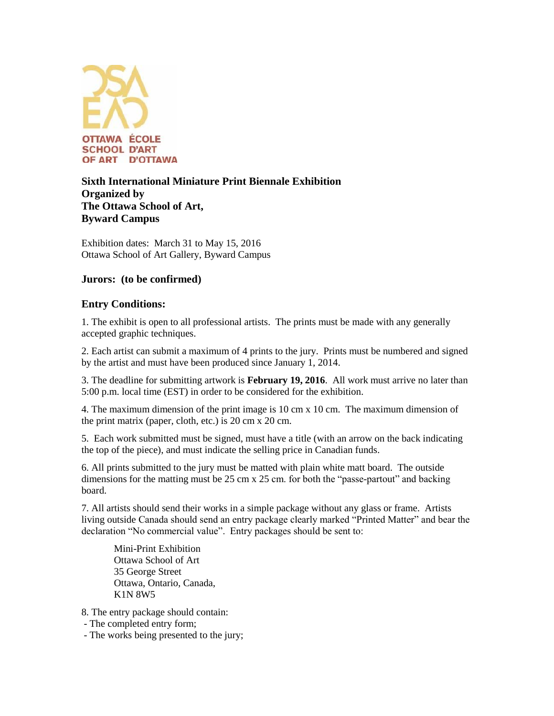

# **Sixth International Miniature Print Biennale Exhibition Organized by The Ottawa School of Art, Byward Campus**

Exhibition dates: March 31 to May 15, 2016 Ottawa School of Art Gallery, Byward Campus

# **Jurors: (to be confirmed)**

# **Entry Conditions:**

1. The exhibit is open to all professional artists. The prints must be made with any generally accepted graphic techniques.

2. Each artist can submit a maximum of 4 prints to the jury. Prints must be numbered and signed by the artist and must have been produced since January 1, 2014.

3. The deadline for submitting artwork is **February 19, 2016**. All work must arrive no later than 5:00 p.m. local time (EST) in order to be considered for the exhibition.

4. The maximum dimension of the print image is 10 cm x 10 cm. The maximum dimension of the print matrix (paper, cloth, etc.) is 20 cm x 20 cm.

5. Each work submitted must be signed, must have a title (with an arrow on the back indicating the top of the piece), and must indicate the selling price in Canadian funds.

6. All prints submitted to the jury must be matted with plain white matt board. The outside dimensions for the matting must be 25 cm x 25 cm. for both the "passe-partout" and backing board.

7. All artists should send their works in a simple package without any glass or frame. Artists living outside Canada should send an entry package clearly marked "Printed Matter" and bear the declaration "No commercial value". Entry packages should be sent to:

Mini-Print Exhibition Ottawa School of Art 35 George Street Ottawa, Ontario, Canada, K1N 8W5

8. The entry package should contain:

- The completed entry form;
- The works being presented to the jury;